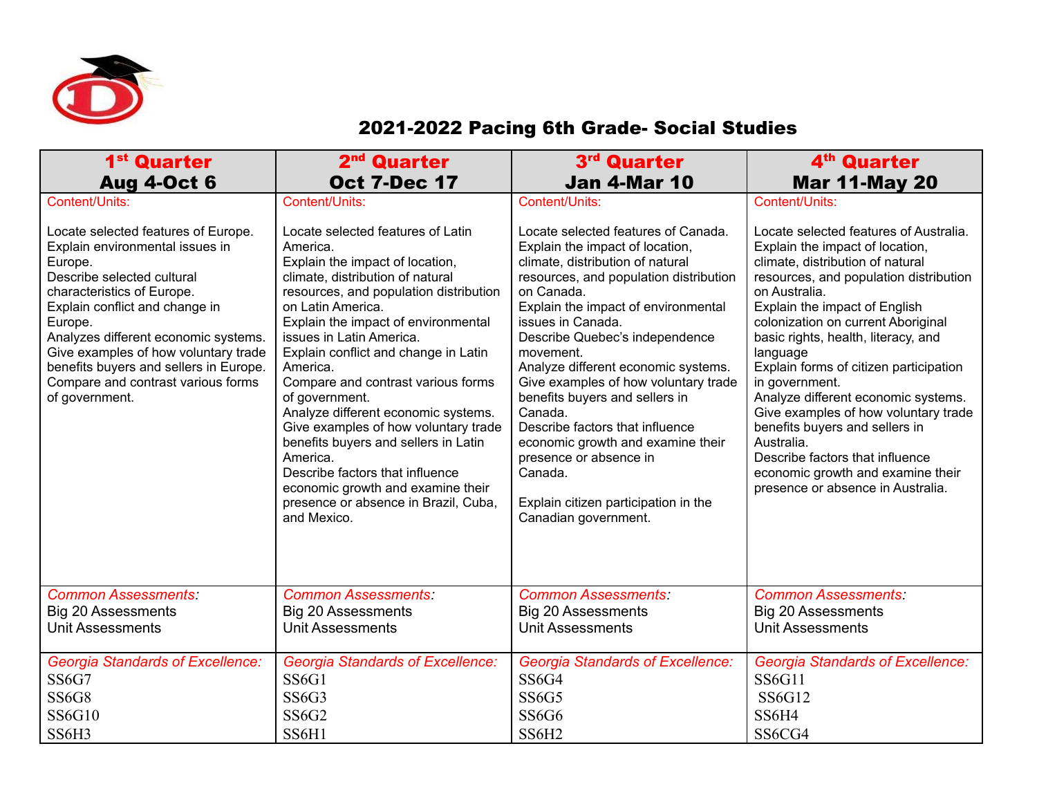

## 2021-2022 Pacing 6th Grade- Social Studies

| 1 <sup>st</sup> Quarter                                                                                                                                                                                                                                                                                                                                                                        | 2 <sup>nd</sup> Quarter                                                                                                                                                                                                                                                                                                                                                                                                                                                                                                                                                                                                                                | 3rd Quarter                                                                                                                                                                                                                                                                                                                                                                                                                                                                                                                                                                                              | 4 <sup>th</sup> Quarter                                                                                                                                                                                                                                                                                                                                                                                                                                                                                                                                                                                                      |
|------------------------------------------------------------------------------------------------------------------------------------------------------------------------------------------------------------------------------------------------------------------------------------------------------------------------------------------------------------------------------------------------|--------------------------------------------------------------------------------------------------------------------------------------------------------------------------------------------------------------------------------------------------------------------------------------------------------------------------------------------------------------------------------------------------------------------------------------------------------------------------------------------------------------------------------------------------------------------------------------------------------------------------------------------------------|----------------------------------------------------------------------------------------------------------------------------------------------------------------------------------------------------------------------------------------------------------------------------------------------------------------------------------------------------------------------------------------------------------------------------------------------------------------------------------------------------------------------------------------------------------------------------------------------------------|------------------------------------------------------------------------------------------------------------------------------------------------------------------------------------------------------------------------------------------------------------------------------------------------------------------------------------------------------------------------------------------------------------------------------------------------------------------------------------------------------------------------------------------------------------------------------------------------------------------------------|
| <b>Aug 4-Oct 6</b>                                                                                                                                                                                                                                                                                                                                                                             | <b>Oct 7-Dec 17</b>                                                                                                                                                                                                                                                                                                                                                                                                                                                                                                                                                                                                                                    | <b>Jan 4-Mar 10</b>                                                                                                                                                                                                                                                                                                                                                                                                                                                                                                                                                                                      | <b>Mar 11-May 20</b>                                                                                                                                                                                                                                                                                                                                                                                                                                                                                                                                                                                                         |
| Content/Units:<br>Locate selected features of Europe.<br>Explain environmental issues in<br>Europe.<br>Describe selected cultural<br>characteristics of Europe.<br>Explain conflict and change in<br>Europe.<br>Analyzes different economic systems.<br>Give examples of how voluntary trade<br>benefits buyers and sellers in Europe.<br>Compare and contrast various forms<br>of government. | Content/Units:<br>Locate selected features of Latin<br>America.<br>Explain the impact of location,<br>climate, distribution of natural<br>resources, and population distribution<br>on Latin America.<br>Explain the impact of environmental<br>issues in Latin America.<br>Explain conflict and change in Latin<br>America.<br>Compare and contrast various forms<br>of government.<br>Analyze different economic systems.<br>Give examples of how voluntary trade<br>benefits buyers and sellers in Latin<br>America.<br>Describe factors that influence<br>economic growth and examine their<br>presence or absence in Brazil, Cuba,<br>and Mexico. | Content/Units:<br>Locate selected features of Canada.<br>Explain the impact of location,<br>climate, distribution of natural<br>resources, and population distribution<br>on Canada.<br>Explain the impact of environmental<br>issues in Canada.<br>Describe Quebec's independence<br>movement.<br>Analyze different economic systems.<br>Give examples of how voluntary trade<br>benefits buyers and sellers in<br>Canada.<br>Describe factors that influence<br>economic growth and examine their<br>presence or absence in<br>Canada.<br>Explain citizen participation in the<br>Canadian government. | Content/Units:<br>Locate selected features of Australia.<br>Explain the impact of location,<br>climate, distribution of natural<br>resources, and population distribution<br>on Australia.<br>Explain the impact of English<br>colonization on current Aboriginal<br>basic rights, health, literacy, and<br>language<br>Explain forms of citizen participation<br>in government.<br>Analyze different economic systems.<br>Give examples of how voluntary trade<br>benefits buyers and sellers in<br>Australia.<br>Describe factors that influence<br>economic growth and examine their<br>presence or absence in Australia. |
| <b>Common Assessments:</b>                                                                                                                                                                                                                                                                                                                                                                     | <b>Common Assessments:</b>                                                                                                                                                                                                                                                                                                                                                                                                                                                                                                                                                                                                                             | <b>Common Assessments:</b>                                                                                                                                                                                                                                                                                                                                                                                                                                                                                                                                                                               | <b>Common Assessments:</b>                                                                                                                                                                                                                                                                                                                                                                                                                                                                                                                                                                                                   |
| Big 20 Assessments                                                                                                                                                                                                                                                                                                                                                                             | <b>Big 20 Assessments</b>                                                                                                                                                                                                                                                                                                                                                                                                                                                                                                                                                                                                                              | Big 20 Assessments                                                                                                                                                                                                                                                                                                                                                                                                                                                                                                                                                                                       | Big 20 Assessments                                                                                                                                                                                                                                                                                                                                                                                                                                                                                                                                                                                                           |
| <b>Unit Assessments</b>                                                                                                                                                                                                                                                                                                                                                                        | <b>Unit Assessments</b>                                                                                                                                                                                                                                                                                                                                                                                                                                                                                                                                                                                                                                | <b>Unit Assessments</b>                                                                                                                                                                                                                                                                                                                                                                                                                                                                                                                                                                                  | <b>Unit Assessments</b>                                                                                                                                                                                                                                                                                                                                                                                                                                                                                                                                                                                                      |
| Georgia Standards of Excellence:                                                                                                                                                                                                                                                                                                                                                               | <b>Georgia Standards of Excellence:</b>                                                                                                                                                                                                                                                                                                                                                                                                                                                                                                                                                                                                                | <b>Georgia Standards of Excellence:</b>                                                                                                                                                                                                                                                                                                                                                                                                                                                                                                                                                                  | <b>Georgia Standards of Excellence:</b>                                                                                                                                                                                                                                                                                                                                                                                                                                                                                                                                                                                      |
| <b>SS6G7</b>                                                                                                                                                                                                                                                                                                                                                                                   | SS6G1                                                                                                                                                                                                                                                                                                                                                                                                                                                                                                                                                                                                                                                  | SS6G4                                                                                                                                                                                                                                                                                                                                                                                                                                                                                                                                                                                                    | <b>SS6G11</b>                                                                                                                                                                                                                                                                                                                                                                                                                                                                                                                                                                                                                |
| <b>SS6G8</b>                                                                                                                                                                                                                                                                                                                                                                                   | SS6G3                                                                                                                                                                                                                                                                                                                                                                                                                                                                                                                                                                                                                                                  | SS6G5                                                                                                                                                                                                                                                                                                                                                                                                                                                                                                                                                                                                    | <b>SS6G12</b>                                                                                                                                                                                                                                                                                                                                                                                                                                                                                                                                                                                                                |
| <b>SS6G10</b>                                                                                                                                                                                                                                                                                                                                                                                  | <b>SS6G2</b>                                                                                                                                                                                                                                                                                                                                                                                                                                                                                                                                                                                                                                           | SS6G6                                                                                                                                                                                                                                                                                                                                                                                                                                                                                                                                                                                                    | SS6H4                                                                                                                                                                                                                                                                                                                                                                                                                                                                                                                                                                                                                        |
| SS6H3                                                                                                                                                                                                                                                                                                                                                                                          | SS6H1                                                                                                                                                                                                                                                                                                                                                                                                                                                                                                                                                                                                                                                  | SS6H <sub>2</sub>                                                                                                                                                                                                                                                                                                                                                                                                                                                                                                                                                                                        | SS6CG4                                                                                                                                                                                                                                                                                                                                                                                                                                                                                                                                                                                                                       |